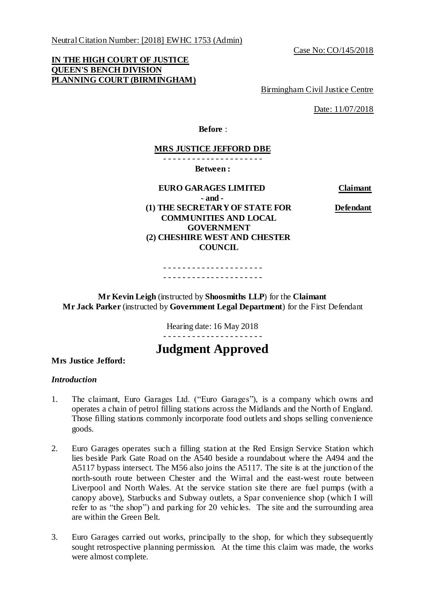Neutral Citation Number: [2018] EWHC 1753 (Admin)

Case No: CO/145/2018

# **IN THE HIGH COURT OF JUSTICE QUEEN'S BENCH DIVISION PLANNING COURT (BIRMINGHAM)**

Birmingham Civil Justice Centre

Date: 11/07/2018

**Before** :

## **MRS JUSTICE JEFFORD DBE**

- - - - - - - - - - - - - - - - - - - - -

**Between :**

## **EURO GARAGES LIMITED Claimant - and - (1) THE SECRETARY OF STATE FOR COMMUNITIES AND LOCAL GOVERNMENT (2) CHESHIRE WEST AND CHESTER COUNCIL**

**Defendant**

- - - - - - - - - - - - - - - - - - - - - - - - - - - - - - - - - - - - - - - - - -

**Mr Kevin Leigh** (instructed by **Shoosmiths LLP**) for the **Claimant Mr Jack Parker** (instructed by **Government Legal Department**) for the First Defendant

> Hearing date: 16 May 2018 - - - - - - - - - - - - - - - - - - - - -

# **Judgment Approved**

#### **Mrs Justice Jefford:**

#### *Introduction*

- 1. The claimant, Euro Garages Ltd. ("Euro Garages"), is a company which owns and operates a chain of petrol filling stations across the Midlands and the North of England. Those filling stations commonly incorporate food outlets and shops selling convenience goods.
- 2. Euro Garages operates such a filling station at the Red Ensign Service Station which lies beside Park Gate Road on the A540 beside a roundabout where the A494 and the A5117 bypass intersect. The M56 also joins the A5117. The site is at the junction of the north-south route between Chester and the Wirral and the east-west route between Liverpool and North Wales. At the service station site there are fuel pumps (with a canopy above), Starbucks and Subway outlets, a Spar convenience shop (which I will refer to as "the shop") and parking for 20 vehicles. The site and the surrounding area are within the Green Belt.
- 3. Euro Garages carried out works, principally to the shop, for which they subsequently sought retrospective planning permission. At the time this claim was made, the works were almost complete.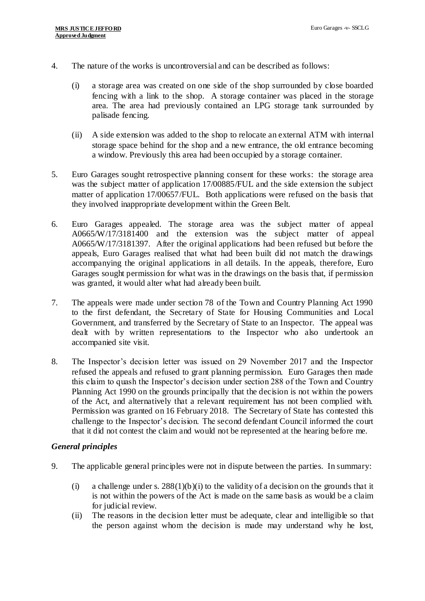- 4. The nature of the works is uncontroversial and can be described as follows:
	- (i) a storage area was created on one side of the shop surrounded by close boarded fencing with a link to the shop. A storage container was placed in the storage area. The area had previously contained an LPG storage tank surrounded by palisade fencing.
	- (ii) A side extension was added to the shop to relocate an external ATM with internal storage space behind for the shop and a new entrance, the old entrance becoming a window. Previously this area had been occupied by a storage container.
- 5. Euro Garages sought retrospective planning consent for these works: the storage area was the subject matter of application 17/00885/FUL and the side extension the subject matter of application 17/00657/FUL. Both applications were refused on the basis that they involved inappropriate development within the Green Belt.
- 6. Euro Garages appealed. The storage area was the subject matter of appeal A0665/W/17/3181400 and the extension was the subject matter of appeal A0665/W/17/3181397. After the original applications had been refused but before the appeals, Euro Garages realised that what had been built did not match the drawings accompanying the original applications in all details. In the appeals, therefore, Euro Garages sought permission for what was in the drawings on the basis that, if permission was granted, it would alter what had already been built.
- 7. The appeals were made under section 78 of the Town and Country Planning Act 1990 to the first defendant, the Secretary of State for Housing Communities and Local Government, and transferred by the Secretary of State to an Inspector. The appeal was dealt with by written representations to the Inspector who also undertook an accompanied site visit.
- 8. The Inspector's decision letter was issued on 29 November 2017 and the Inspector refused the appeals and refused to grant planning permission. Euro Garages then made this claim to quash the Inspector's decision under section 288 of the Town and Country Planning Act 1990 on the grounds principally that the decision is not within the powers of the Act, and alternatively that a relevant requirement has not been complied with. Permission was granted on 16 February 2018. The Secretary of State has contested this challenge to the Inspector's decision. The second defendant Council informed the court that it did not contest the claim and would not be represented at the hearing before me.

#### *General principles*

- 9. The applicable general principles were not in dispute between the parties. In summary:
	- (i) a challenge under s.  $288(1)(b)(i)$  to the validity of a decision on the grounds that it is not within the powers of the Act is made on the same basis as would be a claim for judicial review.
	- (ii) The reasons in the decision letter must be adequate, clear and intelligible so that the person against whom the decision is made may understand why he lost,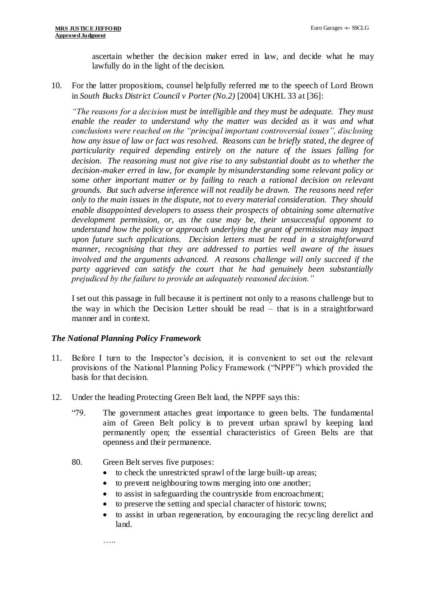ascertain whether the decision maker erred in law, and decide what he may lawfully do in the light of the decision.

10. For the latter propositions, counsel helpfully referred me to the speech of Lord Brown in *South Bucks District Council v Porter (No.2)* [2004] UKHL 33 at [36]:

*"The reasons for a decision must be intelligible and they must be adequate. They must enable the reader to understand why the matter was decided as it was and what conclusions were reached on the "principal important controversial issues", disclosing how any issue of law or fact was resolved. Reasons can be briefly stated, the degree of particularity required depending entirely on the nature of the issues falling for decision. The reasoning must not give rise to any substantial doubt as to whether the decision-maker erred in law, for example by misunderstanding some relevant policy or some other important matter or by failing to reach a rational decision on relevant grounds. But such adverse inference will not readily be drawn. The reasons need refer only to the main issues in the dispute, not to every material consideration. They should enable disappointed developers to assess their prospects of obtaining some alternative development permission, or, as the case may be, their unsuccessful opponent to understand how the policy or approach underlying the grant of permission may impact upon future such applications. Decision letters must be read in a straightforward manner, recognising that they are addressed to parties well aware of the issues involved and the arguments advanced. A reasons challenge will only succeed if the party aggrieved can satisfy the court that he had genuinely been substantially prejudiced by the failure to provide an adequately reasoned decision."* 

I set out this passage in full because it is pertinent not only to a reasons challenge but to the way in which the Decision Letter should be read – that is in a straightforward manner and in context.

#### *The National Planning Policy Framework*

- 11. Before I turn to the Inspector's decision, it is convenient to set out the relevant provisions of the National Planning Policy Framework ("NPPF") which provided the basis for that decision.
- 12. Under the heading Protecting Green Belt land, the NPPF says this:
	- "79. The government attaches great importance to green belts. The fundamental aim of Green Belt policy is to prevent urban sprawl by keeping land permanently open; the essential characteristics of Green Belts are that openness and their permanence.
	- 80. Green Belt serves five purposes:
		- to check the unrestricted sprawl of the large built-up areas;
		- to prevent neighbouring towns merging into one another;
		- to assist in safeguarding the countryside from encroachment;
		- to preserve the setting and special character of historic towns;
		- to assist in urban regeneration, by encouraging the recyc ling derelict and land.

…..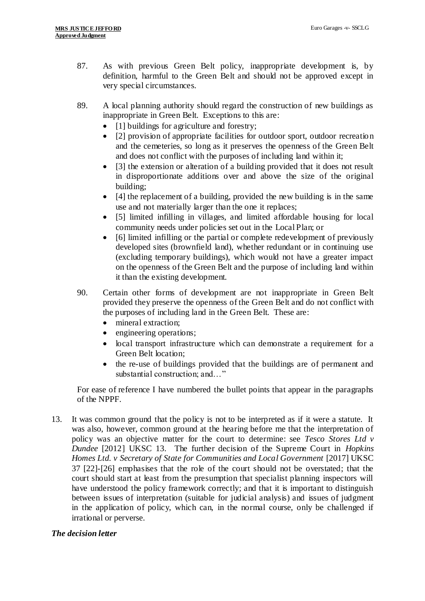- 87. As with previous Green Belt policy, inappropriate development is, by definition, harmful to the Green Belt and should not be approved except in very special circumstances.
- 89. A local planning authority should regard the construction of new buildings as inappropriate in Green Belt. Exceptions to this are:
	- [1] buildings for agriculture and forestry;
	- [2] provision of appropriate facilities for outdoor sport, outdoor recreation and the cemeteries, so long as it preserves the openness of the Green Belt and does not conflict with the purposes of including land within it;
	- [3] the extension or alteration of a building provided that it does not result in disproportionate additions over and above the size of the original building;
	- $\bullet$  [4] the replacement of a building, provided the new building is in the same use and not materially larger than the one it replaces;
	- [5] limited infilling in villages, and limited affordable housing for local community needs under policies set out in the Local Plan; or
	- [6] limited infilling or the partial or complete redevelopment of previously developed sites (brownfield land), whether redundant or in continuing use (excluding temporary buildings), which would not have a greater impact on the openness of the Green Belt and the purpose of including land within it than the existing development.
- 90. Certain other forms of development are not inappropriate in Green Belt provided they preserve the openness of the Green Belt and do not conflict with the purposes of including land in the Green Belt. These are:
	- mineral extraction;
	- engineering operations;
	- local transport infrastructure which can demonstrate a requirement for a Green Belt location;
	- the re-use of buildings provided that the buildings are of permanent and substantial construction; and…"

For ease of reference I have numbered the bullet points that appear in the paragraphs of the NPPF.

13. It was common ground that the policy is not to be interpreted as if it were a statute. It was also, however, common ground at the hearing before me that the interpretation of policy was an objective matter for the court to determine: see *Tesco Stores Ltd v Dundee* [2012] UKSC 13. The further decision of the Supreme Court in *Hopkins Homes Ltd. v Secretary of State for Communities and Local Government* [2017] UKSC 37 [22]-[26] emphasises that the role of the court should not be overstated; that the court should start at least from the presumption that specialist planning inspectors will have understood the policy framework correctly; and that it is important to distinguish between issues of interpretation (suitable for judicial analysis) and issues of judgment in the application of policy, which can, in the normal course, only be challenged if irrational or perverse.

## *The decision letter*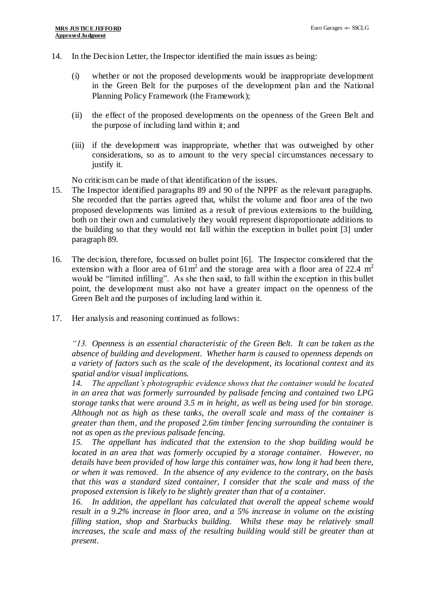- 14. In the Decision Letter, the Inspector identified the main issues as being:
	- (i) whether or not the proposed developments would be inappropriate development in the Green Belt for the purposes of the development plan and the National Planning Policy Framework (the Framework);
	- (ii) the effect of the proposed developments on the openness of the Green Belt and the purpose of including land within it; and
	- (iii) if the development was inappropriate, whether that was outweighed by other considerations, so as to amount to the very special circumstances necessary to justify it.

No criticism can be made of that identification of the issues.

- 15. The Inspector identified paragraphs 89 and 90 of the NPPF as the relevant paragraphs. She recorded that the parties agreed that, whilst the volume and floor area of the two proposed developments was limited as a result of previous extensions to the building, both on their own and cumulatively they would represent disproportionate additions to the building so that they would not fall within the exception in bullet point [3] under paragraph 89.
- 16. The decision, therefore, focussed on bullet point [6]. The Inspector considered that the extension with a floor area of  $61 \text{ m}^2$  and the storage area with a floor area of 22.4 m<sup>2</sup> would be "limited infilling". As she then said, to fall within the exception in this bullet point, the development must also not have a greater impact on the openness of the Green Belt and the purposes of including land within it.
- 17. Her analysis and reasoning continued as follows:

*"13. Openness is an essential characteristic of the Green Belt. It can be taken as the absence of building and development. Whether harm is caused to openness depends on a variety of factors such as the scale of the development, its locational context and its spatial and/or visual implications.*

*14. The appellant's photographic evidence shows that the container would be located in an area that was formerly surrounded by palisade fencing and contained two LPG storage tanks that were around 3.5 m in height, as well as being used for bin storage. Although not as high as these tanks, the overall scale and mass of the container is greater than them, and the proposed 2.6m timber fencing surrounding the container is not as open as the previous palisade fencing.*

*15. The appellant has indicated that the extension to the shop building would be located in an area that was formerly occupied by a storage container. However, no details have been provided of how large this container was, how long it had been there, or when it was removed. In the absence of any evidence to the contrary, on the basis that this was a standard sized container, I consider that the scale and mass of the proposed extension is likely to be slightly greater than that of a container.*

*16. In addition, the appellant has calculated that overall the appeal scheme would result in a 9.2% increase in floor area, and a 5% increase in volume on the existing filling station, shop and Starbucks building. Whilst these may be relatively small*  increases, the scale and mass of the resulting building would still be greater than at *present.*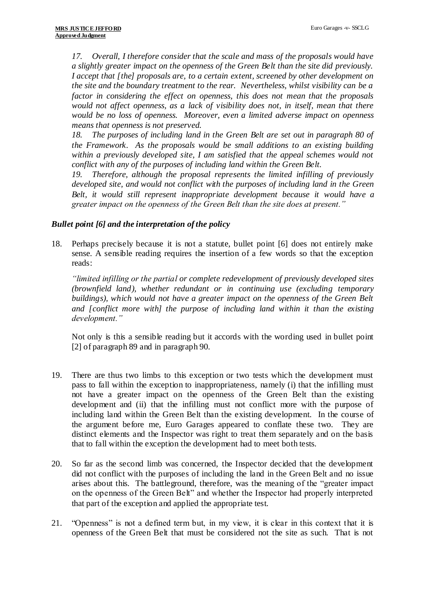*17. Overall, I therefore consider that the scale and mass of the proposals would have a slightly greater impact on the openness of the Green Belt than the site did previously. I accept that [the] proposals are, to a certain extent, screened by other development on the site and the boundary treatment to the rear. Nevertheless, whilst visibility can be a factor in considering the effect on openness, this does not mean that the proposals would not affect openness, as a lack of visibility does not, in itself, mean that there would be no loss of openness. Moreover, even a limited adverse impact on openness means that openness is not preserved.* 

*18. The purposes of including land in the Green Belt are set out in paragraph 80 of the Framework. As the proposals would be small additions to an existing building within a previously developed site, I am satisfied that the appeal schemes would not conflict with any of the purposes of including land within the Green Belt.*

*19. Therefore, although the proposal represents the limited infilling of previously developed site, and would not conflict with the purposes of including land in the Green Belt, it would still represent inappropriate development because it would have a greater impact on the openness of the Green Belt than the site does at present."*

## *Bullet point [6] and the interpretation of the policy*

18. Perhaps precisely because it is not a statute, bullet point [6] does not entirely make sense. A sensible reading requires the insertion of a few words so that the exception reads:

*"limited infilling or the partial or complete redevelopment of previously developed sites (brownfield land), whether redundant or in continuing use (excluding temporary buildings), which would not have a greater impact on the openness of the Green Belt and [conflict more with] the purpose of including land within it than the existing development."*

Not only is this a sensible reading but it accords with the wording used in bullet point [2] of paragraph 89 and in paragraph 90.

- 19. There are thus two limbs to this exception or two tests which the development must pass to fall within the exception to inappropriateness, namely (i) that the infilling must not have a greater impact on the openness of the Green Belt than the existing development and (ii) that the infilling must not conflict more with the purpose of including land within the Green Belt than the existing development. In the course of the argument before me, Euro Garages appeared to conflate these two. They are distinct elements and the Inspector was right to treat them separately and on the basis that to fall within the exception the development had to meet both tests.
- 20. So far as the second limb was concerned, the Inspector decided that the development did not conflict with the purposes of including the land in the Green Belt and no issue arises about this. The battleground, therefore, was the meaning of the "greater impact on the openness of the Green Belt" and whether the Inspector had properly interpreted that part of the exception and applied the appropriate test.
- 21. "Openness" is not a defined term but, in my view, it is clear in this context that it is openness of the Green Belt that must be considered not the site as such. That is not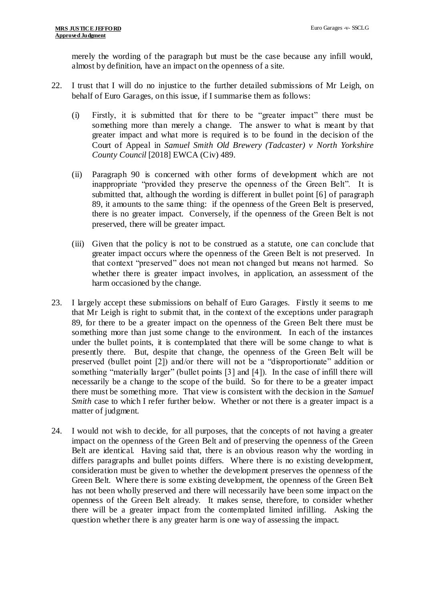merely the wording of the paragraph but must be the case because any infill would, almost by definition, have an impact on the openness of a site.

- 22. I trust that I will do no injustice to the further detailed submissions of Mr Leigh, on behalf of Euro Garages, on this issue, if I summarise them as follows:
	- (i) Firstly, it is submitted that for there to be "greater impact" there must be something more than merely a change. The answer to what is meant by that greater impact and what more is required is to be found in the decision of the Court of Appeal in *Samuel Smith Old Brewery (Tadcaster) v North Yorkshire County Council* [2018] EWCA (Civ) 489.
	- (ii) Paragraph 90 is concerned with other forms of development which are not inappropriate "provided they preserve the openness of the Green Belt". It is submitted that, although the wording is different in bullet point [6] of paragraph 89, it amounts to the same thing: if the openness of the Green Belt is preserved, there is no greater impact. Conversely, if the openness of the Green Belt is not preserved, there will be greater impact.
	- (iii) Given that the policy is not to be construed as a statute, one can conclude that greater impact occurs where the openness of the Green Belt is not preserved. In that context "preserved" does not mean not changed but means not harmed. So whether there is greater impact involves, in application, an assessment of the harm occasioned by the change.
- 23. I largely accept these submissions on behalf of Euro Garages. Firstly it seems to me that Mr Leigh is right to submit that, in the context of the exceptions under paragraph 89, for there to be a greater impact on the openness of the Green Belt there must be something more than just some change to the environment. In each of the instances under the bullet points, it is contemplated that there will be some change to what is presently there. But, despite that change, the openness of the Green Belt will be preserved (bullet point [2]) and/or there will not be a "disproportionate" addition or something "materially larger" (bullet points [3] and [4]). In the case of infill there will necessarily be a change to the scope of the build. So for there to be a greater impact there must be something more. That view is consistent with the decision in the *Samuel Smith* case to which I refer further below. Whether or not there is a greater impact is a matter of judgment.
- 24. I would not wish to decide, for all purposes, that the concepts of not having a greater impact on the openness of the Green Belt and of preserving the openness of the Green Belt are identical. Having said that, there is an obvious reason why the wording in differs paragraphs and bullet points differs. Where there is no existing development, consideration must be given to whether the development preserves the openness of the Green Belt. Where there is some existing development, the openness of the Green Belt has not been wholly preserved and there will necessarily have been some impact on the openness of the Green Belt already. It makes sense, therefore, to consider whether there will be a greater impact from the contemplated limited infilling. Asking the question whether there is any greater harm is one way of assessing the impact.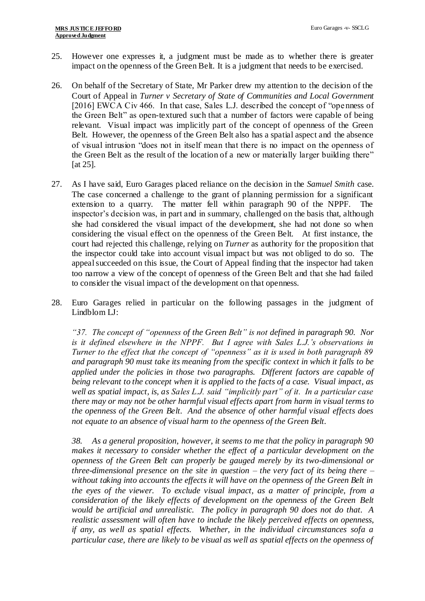- 25. However one expresses it, a judgment must be made as to whether there is greater impact on the openness of the Green Belt. It is a judgment that needs to be exercised.
- 26. On behalf of the Secretary of State, Mr Parker drew my attention to the decision of the Court of Appeal in *Turner v Secretary of State of Communities and Local Government* [2016] EWCA Civ 466. In that case, Sales L.J. described the concept of "openness of the Green Belt" as open-textured such that a number of factors were capable of being relevant. Visual impact was implicitly part of the concept of openness of the Green Belt. However, the openness of the Green Belt also has a spatial aspect and the absence of visual intrusion "does not in itself mean that there is no impact on the openness of the Green Belt as the result of the location of a new or materially larger building there" [at 25].
- 27. As I have said, Euro Garages placed reliance on the decision in the *Samuel Smith* case. The case concerned a challenge to the grant of planning permission for a significant extension to a quarry. The matter fell within paragraph 90 of the NPPF. The inspector's decision was, in part and in summary, challenged on the basis that, although she had considered the visual impact of the development, she had not done so when considering the visual effect on the openness of the Green Belt. At first instance, the court had rejected this challenge, relying on *Turner* as authority for the proposition that the inspector could take into account visual impact but was not obliged to do so. The appeal succeeded on this issue, the Court of Appeal finding that the inspector had taken too narrow a view of the concept of openness of the Green Belt and that she had failed to consider the visual impact of the development on that openness.
- 28. Euro Garages relied in particular on the following passages in the judgment of Lindblom LJ:

*"37. The concept of "openness of the Green Belt" is not defined in paragraph 90. Nor is it defined elsewhere in the NPPF. But I agree with Sales L.J.'s observations in Turner to the effect that the concept of "openness" as it is used in both paragraph 89 and paragraph 90 must take its meaning from the specific context in which it falls to be applied under the policies in those two paragraphs. Different factors are capable of being relevant to the concept when it is applied to the facts of a case. Visual impact, as well as spatial impact, is, as Sales L.J. said "implicitly part" of it. In a particular case there may or may not be other harmful visual effects apart from harm in visual terms to the openness of the Green Belt. And the absence of other harmful visual effects does not equate to an absence of visual harm to the openness of the Green Belt.*

*38. As a general proposition, however, it seems to me that the policy in paragraph 90 makes it necessary to consider whether the effect of a particular development on the openness of the Green Belt can properly be gauged merely by its two-dimensional or three-dimensional presence on the site in question – the very fact of its being there – without taking into accounts the effects it will have on the openness of the Green Belt in the eyes of the viewer. To exclude visual impact, as a matter of principle, from a consideration of the likely effects of development on the openness of the Green Belt would be artificial and unrealistic. The policy in paragraph 90 does not do that. A realistic assessment will often have to include the likely perceived effects on openness, if any, as well as spatial effects. Whether, in the individual circumstances sofa a particular case, there are likely to be visual as well as spatial effects on the openness of*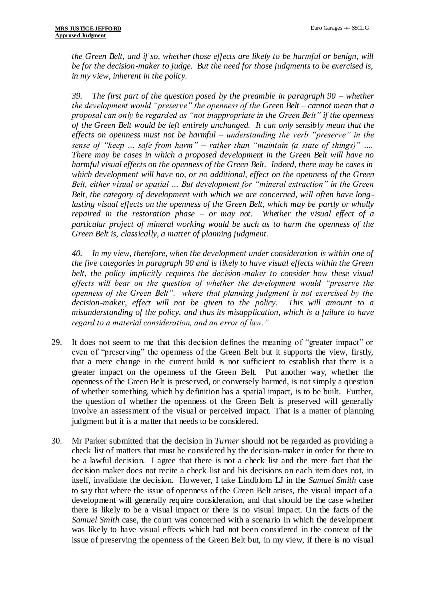*the Green Belt, and if so, whether those effects are likely to be harmful or benign, will be for the decision-maker to judge. But the need for those judgments to be exercised is, in my view, inherent in the policy.*

*39. The first part of the question posed by the preamble in paragraph 90 – whether the development would "preserve" the openness of the Green Belt – cannot mean that a proposal can only be regarded as "not inappropriate in the Green Belt" if the openness of the Green Belt would be left entirely unchanged. It can only sensibly mean that the effects on openness must not be harmful – understanding the verb "preserve" in the sense of "keep … safe from harm" – rather than "maintain (a state of things)" …. There may be cases in which a proposed development in the Green Belt will have no harmful visual effects on the openness of the Green Belt. Indeed, there may be cases in which development will have no, or no additional, effect on the openness of the Green Belt, either visual or spatial … But development for "mineral extraction" in the Green Belt, the category of development with which we are concerned, will often have longlasting visual effects on the openness of the Green Belt, which may be partly or wholly repaired in the restoration phase – or may not. Whether the visual effect of a particular project of mineral working would be such as to harm the openness of the Green Belt is, classically, a matter of planning judgment.*

*40. In my view, therefore, when the development under consideration is within one of the five categories in paragraph 90 and is likely to have visual effects within the Green belt, the policy implicitly requires the decision-maker to consider how these visual effects will bear on the question of whether the development would "preserve the openness of the Green Belt". where that planning judgment is not exercised by the decision-maker, effect will not be given to the policy. This will amount to a misunderstanding of the policy, and thus its misapplication, which is a failure to have regard to a material consideration, and an error of law."* 

- 29. It does not seem to me that this decision defines the meaning of "greater impact" or even of "preserving" the openness of the Green Belt but it supports the view, firstly, that a mere change in the current build is not sufficient to establish that there is a greater impact on the openness of the Green Belt. Put another way, whether the openness of the Green Belt is preserved, or conversely harmed, is not simply a question of whether something, which by definition has a spatial impact, is to be built. Further, the question of whether the openness of the Green Belt is preserved will generally involve an assessment of the visual or perceived impact. That is a matter of planning judgment but it is a matter that needs to be considered.
- 30. Mr Parker submitted that the decision in *Turner* should not be regarded as providing a check list of matters that must be considered by the decision-maker in order for there to be a lawful decision. I agree that there is not a check list and the mere fact that the decision maker does not recite a check list and his decisions on each item does not, in itself, invalidate the decision. However, I take Lindblom LJ in the *Samuel Smith* case to say that where the issue of openness of the Green Belt arises, the visual impact of a development will generally require consideration, and that should be the case whether there is likely to be a visual impact or there is no visual impact. On the facts of the *Samuel Smith* case, the court was concerned with a scenario in which the development was likely to have visual effects which had not been considered in the context of the issue of preserving the openness of the Green Belt but, in my view, if there is no visual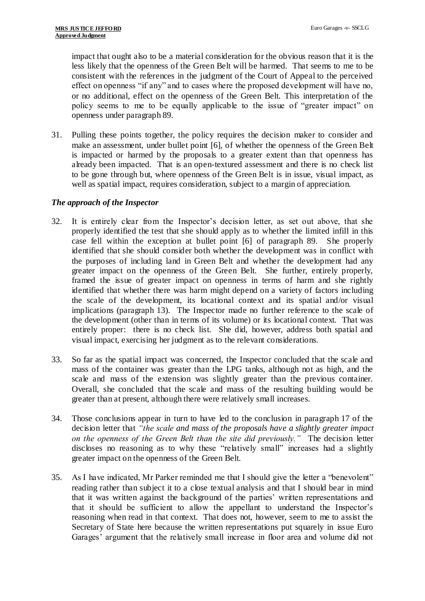impact that ought also to be a material consideration for the obvious reason that it is the less likely that the openness of the Green Belt will be harmed. That seems to me to be consistent with the references in the judgment of the Court of Appeal to the perceived effect on openness "if any" and to cases where the proposed development will have no, or no additional, effect on the openness of the Green Belt. This interpretation of the policy seems to me to be equally applicable to the issue of "greater impact" on openness under paragraph 89.

31. Pulling these points together, the policy requires the decision maker to consider and make an assessment, under bullet point [6], of whether the openness of the Green Belt is impacted or harmed by the proposals to a greater extent than that openness has already been impacted. That is an open-textured assessment and there is no check list to be gone through but, where openness of the Green Belt is in issue, visual impact, as well as spatial impact, requires consideration, subject to a margin of appreciation.

## *The approach of the Inspector*

- 32. It is entirely clear from the Inspector's decision letter, as set out above, that she properly identified the test that she should apply as to whether the limited infill in this case fell within the exception at bullet point [6] of paragraph 89. She properly identified that she should consider both whether the development was in conflict with the purposes of including land in Green Belt and whether the development had any greater impact on the openness of the Green Belt. She further, entirely properly, framed the issue of greater impact on openness in terms of harm and she rightly identified that whether there was harm might depend on a variety of factors including the scale of the development, its locational context and its spatial and/or visual implications (paragraph 13). The Inspector made no further reference to the scale of the development (other than in terms of its volume) or its locational context. That was entirely proper: there is no check list. She did, however, address both spatial and visual impact, exercising her judgment as to the relevant considerations.
- 33. So far as the spatial impact was concerned, the Inspector concluded that the scale and mass of the container was greater than the LPG tanks, although not as high, and the scale and mass of the extension was slightly greater than the previous container. Overall, she concluded that the scale and mass of the resulting building would be greater than at present, although there were relatively small increases.
- 34. Those conclusions appear in turn to have led to the conclusion in paragraph 17 of the decision letter that *"the scale and mass of the proposals have a slightly greater impact on the openness of the Green Belt than the site did previously."* The decision letter discloses no reasoning as to why these "relatively small" increases had a slightly greater impact on the openness of the Green Belt.
- 35. As I have indicated, Mr Parker reminded me that I should give the letter a "benevolent" reading rather than subject it to a close textual analysis and that I should bear in mind that it was written against the background of the parties' written representations and that it should be sufficient to allow the appellant to understand the Inspector's reasoning when read in that context. That does not, however, seem to me to assist the Secretary of State here because the written representations put squarely in issue Euro Garages' argument that the relatively small increase in floor area and volume did not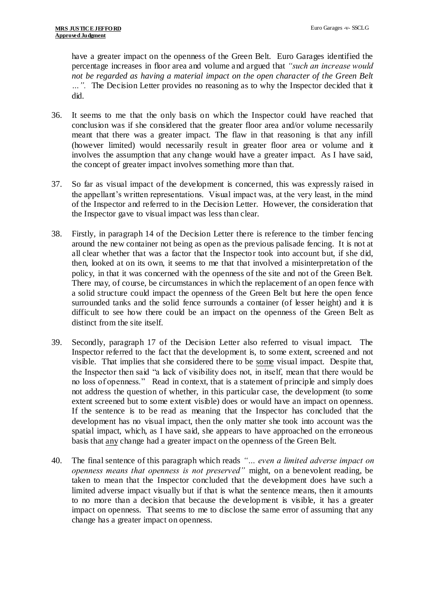have a greater impact on the openness of the Green Belt. Euro Garages identified the percentage increases in floor area and volume and argued that *"such an increase would not be regarded as having a material impact on the open character of the Green Belt …".* The Decision Letter provides no reasoning as to why the Inspector decided that it did.

- 36. It seems to me that the only basis on which the Inspector could have reached that conclusion was if she considered that the greater floor area and/or volume necessarily meant that there was a greater impact. The flaw in that reasoning is that any infill (however limited) would necessarily result in greater floor area or volume and it involves the assumption that any change would have a greater impact. As I have said, the concept of greater impact involves something more than that.
- 37. So far as visual impact of the development is concerned, this was expressly raised in the appellant's written representations. Visual impact was, at the very least, in the mind of the Inspector and referred to in the Decision Letter. However, the consideration that the Inspector gave to visual impact was less than clear.
- 38. Firstly, in paragraph 14 of the Decision Letter there is reference to the timber fencing around the new container not being as open as the previous palisade fencing. It is not at all clear whether that was a factor that the Inspector took into account but, if she did, then, looked at on its own, it seems to me that that involved a misinterpretation of the policy, in that it was concerned with the openness of the site and not of the Green Belt. There may, of course, be circumstances in which the replacement of an open fence with a solid structure could impact the openness of the Green Belt but here the open fence surrounded tanks and the solid fence surrounds a container (of lesser height) and it is difficult to see how there could be an impact on the openness of the Green Belt as distinct from the site itself.
- 39. Secondly, paragraph 17 of the Decision Letter also referred to visual impact. The Inspector referred to the fact that the development is, to some extent, screened and not visible. That implies that she considered there to be some visual impact. Despite that, the Inspector then said "a lack of visibility does not, in itself, mean that there would be no loss of openness." Read in context, that is a statement of principle and simply does not address the question of whether, in this particular case, the development (to some extent screened but to some extent visible) does or would have an impact on openness. If the sentence is to be read as meaning that the Inspector has concluded that the development has no visual impact, then the only matter she took into account was the spatial impact, which, as I have said, she appears to have approached on the erroneous basis that any change had a greater impact on the openness of the Green Belt.
- 40. The final sentence of this paragraph which reads *"… even a limited adverse impact on openness means that openness is not preserved"* might, on a benevolent reading, be taken to mean that the Inspector concluded that the development does have such a limited adverse impact visually but if that is what the sentence means, then it amounts to no more than a decision that because the development is visible, it has a greater impact on openness. That seems to me to disclose the same error of assuming that any change has a greater impact on openness.